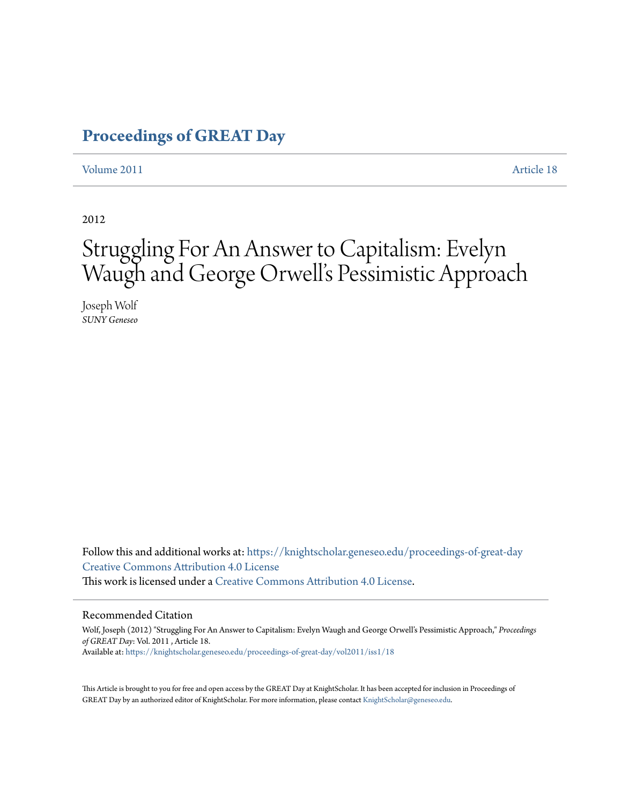## **[Proceedings of GREAT Day](https://knightscholar.geneseo.edu/proceedings-of-great-day?utm_source=knightscholar.geneseo.edu%2Fproceedings-of-great-day%2Fvol2011%2Fiss1%2F18&utm_medium=PDF&utm_campaign=PDFCoverPages)**

#### [Volume 2011](https://knightscholar.geneseo.edu/proceedings-of-great-day/vol2011?utm_source=knightscholar.geneseo.edu%2Fproceedings-of-great-day%2Fvol2011%2Fiss1%2F18&utm_medium=PDF&utm_campaign=PDFCoverPages) **[Article 18](https://knightscholar.geneseo.edu/proceedings-of-great-day/vol2011/iss1/18?utm_source=knightscholar.geneseo.edu%2Fproceedings-of-great-day%2Fvol2011%2Fiss1%2F18&utm_medium=PDF&utm_campaign=PDFCoverPages)**

2012

# Struggling For An Answer to Capitalism: Evelyn Waugh and George Orwell's Pessimistic Approach

Joseph Wolf *SUNY Geneseo*

Follow this and additional works at: [https://knightscholar.geneseo.edu/proceedings-of-great-day](https://knightscholar.geneseo.edu/proceedings-of-great-day?utm_source=knightscholar.geneseo.edu%2Fproceedings-of-great-day%2Fvol2011%2Fiss1%2F18&utm_medium=PDF&utm_campaign=PDFCoverPages) [Creative Commons Attribution 4.0 License](http://creativecommons.org/licenses/by/4.0/) This work is licensed under a [Creative Commons Attribution 4.0 License.](http://creativecommons.org/licenses/by/4.0/)

#### Recommended Citation

Wolf, Joseph (2012) "Struggling For An Answer to Capitalism: Evelyn Waugh and George Orwell's Pessimistic Approach," *Proceedings of GREAT Day*: Vol. 2011 , Article 18. Available at: [https://knightscholar.geneseo.edu/proceedings-of-great-day/vol2011/iss1/18](https://knightscholar.geneseo.edu/proceedings-of-great-day/vol2011/iss1/18?utm_source=knightscholar.geneseo.edu%2Fproceedings-of-great-day%2Fvol2011%2Fiss1%2F18&utm_medium=PDF&utm_campaign=PDFCoverPages)

This Article is brought to you for free and open access by the GREAT Day at KnightScholar. It has been accepted for inclusion in Proceedings of GREAT Day by an authorized editor of KnightScholar. For more information, please contact [KnightScholar@geneseo.edu.](mailto:KnightScholar@geneseo.edu)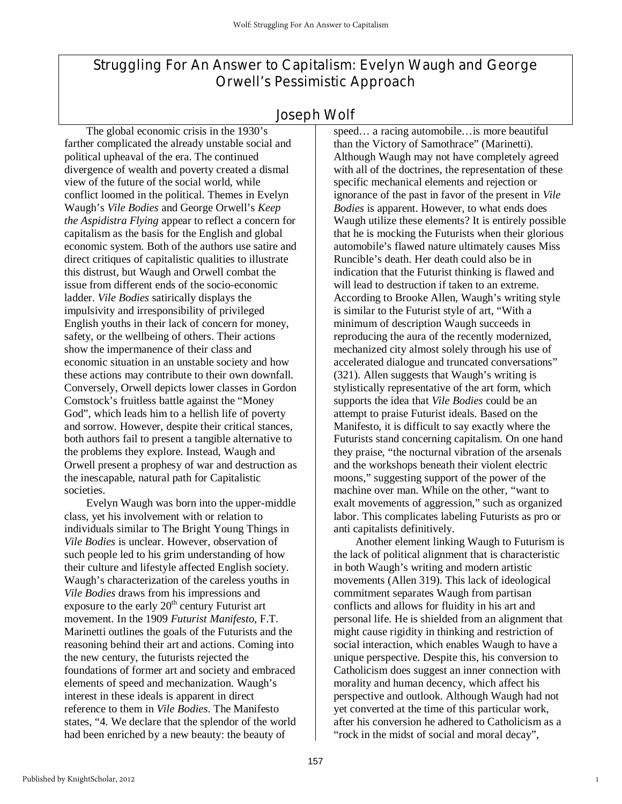## Struggling For An Answer to Capitalism: Evelyn Waugh and George Orwell's Pessimistic Approach

### Joseph Wolf

The global economic crisis in the 1930's farther complicated the already unstable social and political upheaval of the era. The continued divergence of wealth and poverty created a dismal view of the future of the social world, while conflict loomed in the political. Themes in Evelyn Waugh's *Vile Bodies* and George Orwell's *Keep the Aspidistra Flying* appear to reflect a concern for capitalism as the basis for the English and global economic system. Both of the authors use satire and direct critiques of capitalistic qualities to illustrate this distrust, but Waugh and Orwell combat the issue from different ends of the socio-economic ladder. *Vile Bodies* satirically displays the impulsivity and irresponsibility of privileged English youths in their lack of concern for money, safety, or the wellbeing of others. Their actions show the impermanence of their class and economic situation in an unstable society and how these actions may contribute to their own downfall. Conversely, Orwell depicts lower classes in Gordon Comstock's fruitless battle against the "Money God", which leads him to a hellish life of poverty and sorrow. However, despite their critical stances, both authors fail to present a tangible alternative to the problems they explore. Instead, Waugh and Orwell present a prophesy of war and destruction as the inescapable, natural path for Capitalistic societies.

 Evelyn Waugh was born into the upper-middle class, yet his involvement with or relation to individuals similar to The Bright Young Things in *Vile Bodies* is unclear. However, observation of such people led to his grim understanding of how their culture and lifestyle affected English society. Waugh's characterization of the careless youths in *Vile Bodies* draws from his impressions and exposure to the early  $20<sup>th</sup>$  century Futurist art movement. In the 1909 *Futurist Manifesto,* F.T. Marinetti outlines the goals of the Futurists and the reasoning behind their art and actions. Coming into the new century, the futurists rejected the foundations of former art and society and embraced elements of speed and mechanization. Waugh's interest in these ideals is apparent in direct reference to them in *Vile Bodies*. The Manifesto states, "4. We declare that the splendor of the world had been enriched by a new beauty: the beauty of

speed… a racing automobile…is more beautiful than the Victory of Samothrace" (Marinetti). Although Waugh may not have completely agreed with all of the doctrines, the representation of these specific mechanical elements and rejection or ignorance of the past in favor of the present in *Vile Bodies* is apparent. However, to what ends does Waugh utilize these elements? It is entirely possible that he is mocking the Futurists when their glorious automobile's flawed nature ultimately causes Miss Runcible's death. Her death could also be in indication that the Futurist thinking is flawed and will lead to destruction if taken to an extreme. According to Brooke Allen, Waugh's writing style is similar to the Futurist style of art, "With a minimum of description Waugh succeeds in reproducing the aura of the recently modernized, mechanized city almost solely through his use of accelerated dialogue and truncated conversations" (321). Allen suggests that Waugh's writing is stylistically representative of the art form, which supports the idea that *Vile Bodies* could be an attempt to praise Futurist ideals. Based on the Manifesto, it is difficult to say exactly where the Futurists stand concerning capitalism. On one hand they praise, "the nocturnal vibration of the arsenals and the workshops beneath their violent electric moons," suggesting support of the power of the machine over man. While on the other, "want to exalt movements of aggression," such as organized labor. This complicates labeling Futurists as pro or anti capitalists definitively.

Another element linking Waugh to Futurism is the lack of political alignment that is characteristic in both Waugh's writing and modern artistic movements (Allen 319). This lack of ideological commitment separates Waugh from partisan conflicts and allows for fluidity in his art and personal life. He is shielded from an alignment that might cause rigidity in thinking and restriction of social interaction, which enables Waugh to have a unique perspective. Despite this, his conversion to Catholicism does suggest an inner connection with morality and human decency, which affect his perspective and outlook. Although Waugh had not yet converted at the time of this particular work, after his conversion he adhered to Catholicism as a "rock in the midst of social and moral decay",

1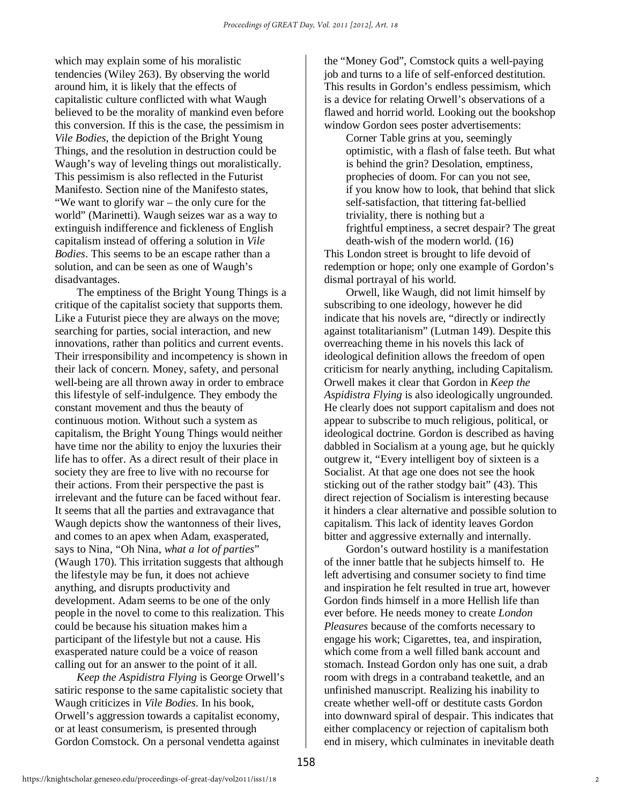which may explain some of his moralistic tendencies (Wiley 263). By observing the world around him, it is likely that the effects of capitalistic culture conflicted with what Waugh believed to be the morality of mankind even before this conversion. If this is the case, the pessimism in *Vile Bodies*, the depiction of the Bright Young Things, and the resolution in destruction could be Waugh's way of leveling things out moralistically. This pessimism is also reflected in the Futurist Manifesto. Section nine of the Manifesto states, "We want to glorify war – the only cure for the world" (Marinetti). Waugh seizes war as a way to extinguish indifference and fickleness of English capitalism instead of offering a solution in *Vile Bodies*. This seems to be an escape rather than a solution, and can be seen as one of Waugh's disadvantages.

The emptiness of the Bright Young Things is a critique of the capitalist society that supports them. Like a Futurist piece they are always on the move; searching for parties, social interaction, and new innovations, rather than politics and current events. Their irresponsibility and incompetency is shown in their lack of concern. Money, safety, and personal well-being are all thrown away in order to embrace this lifestyle of self-indulgence. They embody the constant movement and thus the beauty of continuous motion. Without such a system as capitalism, the Bright Young Things would neither have time nor the ability to enjoy the luxuries their life has to offer. As a direct result of their place in society they are free to live with no recourse for their actions. From their perspective the past is irrelevant and the future can be faced without fear. It seems that all the parties and extravagance that Waugh depicts show the wantonness of their lives, and comes to an apex when Adam, exasperated, says to Nina, "Oh Nina, *what a lot of parties*" (Waugh 170). This irritation suggests that although the lifestyle may be fun, it does not achieve anything, and disrupts productivity and development. Adam seems to be one of the only people in the novel to come to this realization. This could be because his situation makes him a participant of the lifestyle but not a cause. His exasperated nature could be a voice of reason calling out for an answer to the point of it all.

*Keep the Aspidistra Flying* is George Orwell's satiric response to the same capitalistic society that Waugh criticizes in *Vile Bodies*. In his book, Orwell's aggression towards a capitalist economy, or at least consumerism, is presented through Gordon Comstock. On a personal vendetta against

the "Money God", Comstock quits a well-paying job and turns to a life of self-enforced destitution. This results in Gordon's endless pessimism, which is a device for relating Orwell's observations of a flawed and horrid world. Looking out the bookshop window Gordon sees poster advertisements:

Corner Table grins at you, seemingly optimistic, with a flash of false teeth. But what is behind the grin? Desolation, emptiness, prophecies of doom. For can you not see, if you know how to look, that behind that slick self-satisfaction, that tittering fat-bellied triviality, there is nothing but a frightful emptiness, a secret despair? The great death-wish of the modern world. (16) This London street is brought to life devoid of redemption or hope; only one example of Gordon's dismal portrayal of his world.

Orwell, like Waugh, did not limit himself by subscribing to one ideology, however he did indicate that his novels are, "directly or indirectly against totalitarianism" (Lutman 149). Despite this overreaching theme in his novels this lack of ideological definition allows the freedom of open criticism for nearly anything, including Capitalism. Orwell makes it clear that Gordon in *Keep the Aspidistra Flying* is also ideologically ungrounded. He clearly does not support capitalism and does not appear to subscribe to much religious, political, or ideological doctrine. Gordon is described as having dabbled in Socialism at a young age, but he quickly outgrew it, "Every intelligent boy of sixteen is a Socialist. At that age one does not see the hook sticking out of the rather stodgy bait" (43). This direct rejection of Socialism is interesting because it hinders a clear alternative and possible solution to capitalism. This lack of identity leaves Gordon bitter and aggressive externally and internally.

Gordon's outward hostility is a manifestation of the inner battle that he subjects himself to. He left advertising and consumer society to find time and inspiration he felt resulted in true art, however Gordon finds himself in a more Hellish life than ever before. He needs money to create *London Pleasures* because of the comforts necessary to engage his work; Cigarettes, tea, and inspiration, which come from a well filled bank account and stomach. Instead Gordon only has one suit, a drab room with dregs in a contraband teakettle, and an unfinished manuscript. Realizing his inability to create whether well-off or destitute casts Gordon into downward spiral of despair. This indicates that either complacency or rejection of capitalism both end in misery, which culminates in inevitable death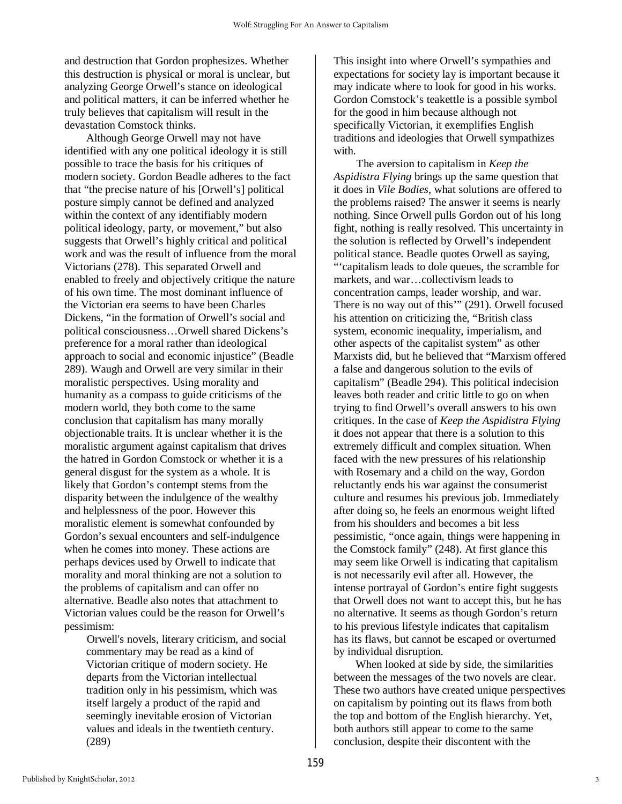and destruction that Gordon prophesizes. Whether this destruction is physical or moral is unclear, but analyzing George Orwell's stance on ideological and political matters, it can be inferred whether he truly believes that capitalism will result in the devastation Comstock thinks.

Although George Orwell may not have identified with any one political ideology it is still possible to trace the basis for his critiques of modern society. Gordon Beadle adheres to the fact that "the precise nature of his [Orwell's] political posture simply cannot be defined and analyzed within the context of any identifiably modern political ideology, party, or movement," but also suggests that Orwell's highly critical and political work and was the result of influence from the moral Victorians (278). This separated Orwell and enabled to freely and objectively critique the nature of his own time. The most dominant influence of the Victorian era seems to have been Charles Dickens, "in the formation of Orwell's social and political consciousness…Orwell shared Dickens's preference for a moral rather than ideological approach to social and economic injustice" (Beadle 289). Waugh and Orwell are very similar in their moralistic perspectives. Using morality and humanity as a compass to guide criticisms of the modern world, they both come to the same conclusion that capitalism has many morally objectionable traits. It is unclear whether it is the moralistic argument against capitalism that drives the hatred in Gordon Comstock or whether it is a general disgust for the system as a whole. It is likely that Gordon's contempt stems from the disparity between the indulgence of the wealthy and helplessness of the poor. However this moralistic element is somewhat confounded by Gordon's sexual encounters and self-indulgence when he comes into money. These actions are perhaps devices used by Orwell to indicate that morality and moral thinking are not a solution to the problems of capitalism and can offer no alternative. Beadle also notes that attachment to Victorian values could be the reason for Orwell's pessimism:

Orwell's novels, literary criticism, and social commentary may be read as a kind of Victorian critique of modern society. He departs from the Victorian intellectual tradition only in his pessimism, which was itself largely a product of the rapid and seemingly inevitable erosion of Victorian values and ideals in the twentieth century. (289)

This insight into where Orwell's sympathies and expectations for society lay is important because it may indicate where to look for good in his works. Gordon Comstock's teakettle is a possible symbol for the good in him because although not specifically Victorian, it exemplifies English traditions and ideologies that Orwell sympathizes with.

 The aversion to capitalism in *Keep the Aspidistra Flying* brings up the same question that it does in *Vile Bodies*, what solutions are offered to the problems raised? The answer it seems is nearly nothing. Since Orwell pulls Gordon out of his long fight, nothing is really resolved. This uncertainty in the solution is reflected by Orwell's independent political stance. Beadle quotes Orwell as saying, "'capitalism leads to dole queues, the scramble for markets, and war…collectivism leads to concentration camps, leader worship, and war. There is no way out of this'" (291). Orwell focused his attention on criticizing the, "British class system, economic inequality, imperialism, and other aspects of the capitalist system" as other Marxists did, but he believed that "Marxism offered a false and dangerous solution to the evils of capitalism" (Beadle 294). This political indecision leaves both reader and critic little to go on when trying to find Orwell's overall answers to his own critiques. In the case of *Keep the Aspidistra Flying* it does not appear that there is a solution to this extremely difficult and complex situation. When faced with the new pressures of his relationship with Rosemary and a child on the way, Gordon reluctantly ends his war against the consumerist culture and resumes his previous job. Immediately after doing so, he feels an enormous weight lifted from his shoulders and becomes a bit less pessimistic, "once again, things were happening in the Comstock family" (248). At first glance this may seem like Orwell is indicating that capitalism is not necessarily evil after all. However, the intense portrayal of Gordon's entire fight suggests that Orwell does not want to accept this, but he has no alternative. It seems as though Gordon's return to his previous lifestyle indicates that capitalism has its flaws, but cannot be escaped or overturned by individual disruption.

When looked at side by side, the similarities between the messages of the two novels are clear. These two authors have created unique perspectives on capitalism by pointing out its flaws from both the top and bottom of the English hierarchy. Yet, both authors still appear to come to the same conclusion, despite their discontent with the